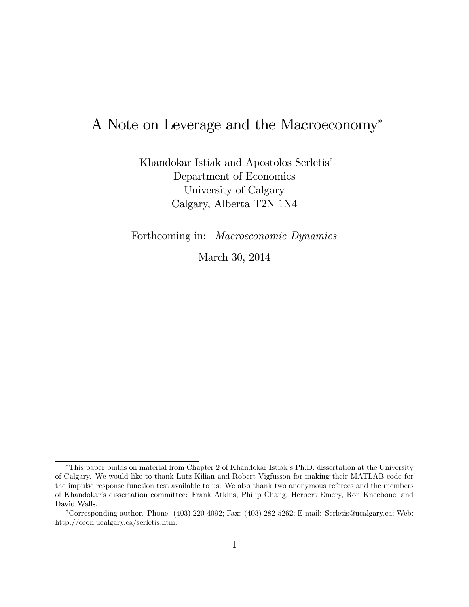# A Note on Leverage and the Macroeconomy

Khandokar Istiak and Apostolos Serletis<sup>†</sup> Department of Economics University of Calgary Calgary, Alberta T2N 1N4

Forthcoming in: Macroeconomic Dynamics

March 30, 2014

This paper builds on material from Chapter 2 of Khandokar Istiakís Ph.D. dissertation at the University of Calgary. We would like to thank Lutz Kilian and Robert Vigfusson for making their MATLAB code for the impulse response function test available to us. We also thank two anonymous referees and the members of Khandokarís dissertation committee: Frank Atkins, Philip Chang, Herbert Emery, Ron Kneebone, and David Walls.

<sup>&</sup>lt;sup>†</sup>Corresponding author. Phone:  $(403)$  220-4092; Fax:  $(403)$  282-5262; E-mail: Serletis@ucalgary.ca; Web: http://econ.ucalgary.ca/serletis.htm.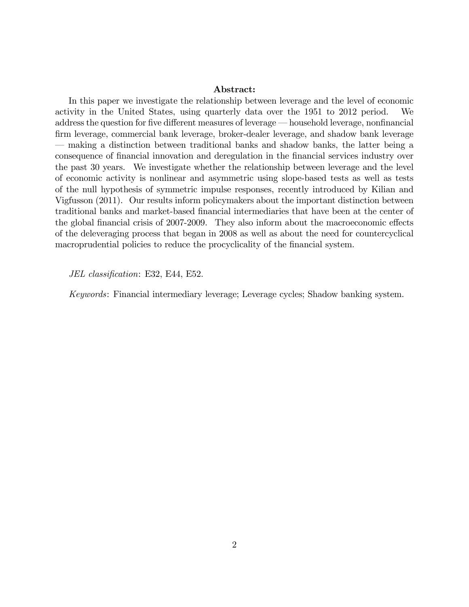#### Abstract:

In this paper we investigate the relationship between leverage and the level of economic activity in the United States, using quarterly data over the 1951 to 2012 period. We address the question for five different measures of leverage  $-$  household leverage, nonfinancial firm leverage, commercial bank leverage, broker-dealer leverage, and shadow bank leverage making a distinction between traditional banks and shadow banks, the latter being a consequence of Önancial innovation and deregulation in the Önancial services industry over the past 30 years. We investigate whether the relationship between leverage and the level of economic activity is nonlinear and asymmetric using slope-based tests as well as tests of the null hypothesis of symmetric impulse responses, recently introduced by Kilian and Vigfusson (2011). Our results inform policymakers about the important distinction between traditional banks and market-based Önancial intermediaries that have been at the center of the global financial crisis of 2007-2009. They also inform about the macroeconomic effects of the deleveraging process that began in 2008 as well as about the need for countercyclical macroprudential policies to reduce the procyclicality of the financial system.

JEL classification: E32, E44, E52.

Keywords: Financial intermediary leverage; Leverage cycles; Shadow banking system.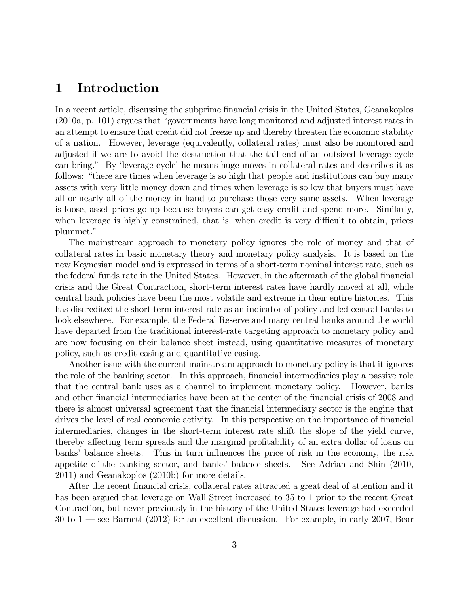### 1 Introduction

In a recent article, discussing the subprime financial crisis in the United States, Geanakoplos  $(2010a, p. 101)$  argues that "governments have long monitored and adjusted interest rates in an attempt to ensure that credit did not freeze up and thereby threaten the economic stability of a nation. However, leverage (equivalently, collateral rates) must also be monitored and adjusted if we are to avoid the destruction that the tail end of an outsized leverage cycle can bring." By 'leverage cycle' he means huge moves in collateral rates and describes it as follows: "there are times when leverage is so high that people and institutions can buy many assets with very little money down and times when leverage is so low that buyers must have all or nearly all of the money in hand to purchase those very same assets. When leverage is loose, asset prices go up because buyers can get easy credit and spend more. Similarly, when leverage is highly constrained, that is, when credit is very difficult to obtain, prices plummet."

The mainstream approach to monetary policy ignores the role of money and that of collateral rates in basic monetary theory and monetary policy analysis. It is based on the new Keynesian model and is expressed in terms of a short-term nominal interest rate, such as the federal funds rate in the United States. However, in the aftermath of the global financial crisis and the Great Contraction, short-term interest rates have hardly moved at all, while central bank policies have been the most volatile and extreme in their entire histories. This has discredited the short term interest rate as an indicator of policy and led central banks to look elsewhere. For example, the Federal Reserve and many central banks around the world have departed from the traditional interest-rate targeting approach to monetary policy and are now focusing on their balance sheet instead, using quantitative measures of monetary policy, such as credit easing and quantitative easing.

Another issue with the current mainstream approach to monetary policy is that it ignores the role of the banking sector. In this approach, financial intermediaries play a passive role that the central bank uses as a channel to implement monetary policy. However, banks and other financial intermediaries have been at the center of the financial crisis of 2008 and there is almost universal agreement that the Önancial intermediary sector is the engine that drives the level of real economic activity. In this perspective on the importance of financial intermediaries, changes in the short-term interest rate shift the slope of the yield curve, thereby affecting term spreads and the marginal profitability of an extra dollar of loans on banks' balance sheets. This in turn influences the price of risk in the economy, the risk appetite of the banking sector, and banksí balance sheets. See Adrian and Shin (2010, 2011) and Geanakoplos (2010b) for more details.

After the recent financial crisis, collateral rates attracted a great deal of attention and it has been argued that leverage on Wall Street increased to 35 to 1 prior to the recent Great Contraction, but never previously in the history of the United States leverage had exceeded 30 to  $1$  – see Barnett (2012) for an excellent discussion. For example, in early 2007, Bear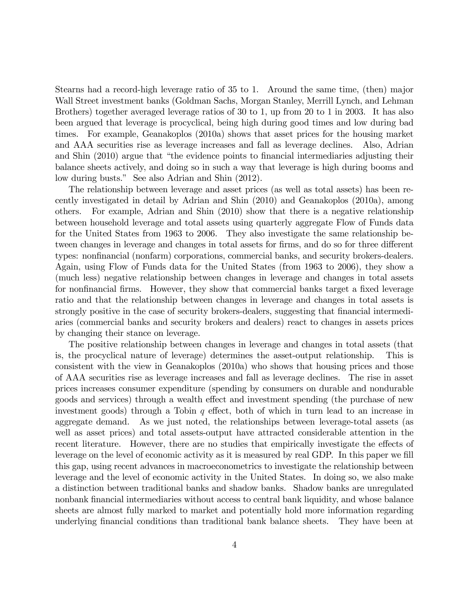Stearns had a record-high leverage ratio of 35 to 1. Around the same time, (then) major Wall Street investment banks (Goldman Sachs, Morgan Stanley, Merrill Lynch, and Lehman Brothers) together averaged leverage ratios of 30 to 1, up from 20 to 1 in 2003. It has also been argued that leverage is procyclical, being high during good times and low during bad times. For example, Geanakoplos (2010a) shows that asset prices for the housing market and AAA securities rise as leverage increases and fall as leverage declines. Also, Adrian and Shin (2010) argue that "the evidence points to financial intermediaries adjusting their balance sheets actively, and doing so in such a way that leverage is high during booms and low during busts." See also Adrian and Shin (2012).

The relationship between leverage and asset prices (as well as total assets) has been recently investigated in detail by Adrian and Shin (2010) and Geanakoplos (2010a), among others. For example, Adrian and Shin (2010) show that there is a negative relationship between household leverage and total assets using quarterly aggregate Flow of Funds data for the United States from 1963 to 2006. They also investigate the same relationship between changes in leverage and changes in total assets for firms, and do so for three different types: nonfinancial (nonfarm) corporations, commercial banks, and security brokers-dealers. Again, using Flow of Funds data for the United States (from 1963 to 2006), they show a (much less) negative relationship between changes in leverage and changes in total assets for nonfinancial firms. However, they show that commercial banks target a fixed leverage ratio and that the relationship between changes in leverage and changes in total assets is strongly positive in the case of security brokers-dealers, suggesting that financial intermediaries (commercial banks and security brokers and dealers) react to changes in assets prices by changing their stance on leverage.

The positive relationship between changes in leverage and changes in total assets (that is, the procyclical nature of leverage) determines the asset-output relationship. This is consistent with the view in Geanakoplos (2010a) who shows that housing prices and those of AAA securities rise as leverage increases and fall as leverage declines. The rise in asset prices increases consumer expenditure (spending by consumers on durable and nondurable goods and services) through a wealth effect and investment spending (the purchase of new investment goods) through a Tobin  $q$  effect, both of which in turn lead to an increase in aggregate demand. As we just noted, the relationships between leverage-total assets (as well as asset prices) and total assets-output have attracted considerable attention in the recent literature. However, there are no studies that empirically investigate the effects of leverage on the level of economic activity as it is measured by real GDP. In this paper we fill this gap, using recent advances in macroeconometrics to investigate the relationship between leverage and the level of economic activity in the United States. In doing so, we also make a distinction between traditional banks and shadow banks. Shadow banks are unregulated nonbank Önancial intermediaries without access to central bank liquidity, and whose balance sheets are almost fully marked to market and potentially hold more information regarding underlying financial conditions than traditional bank balance sheets. They have been at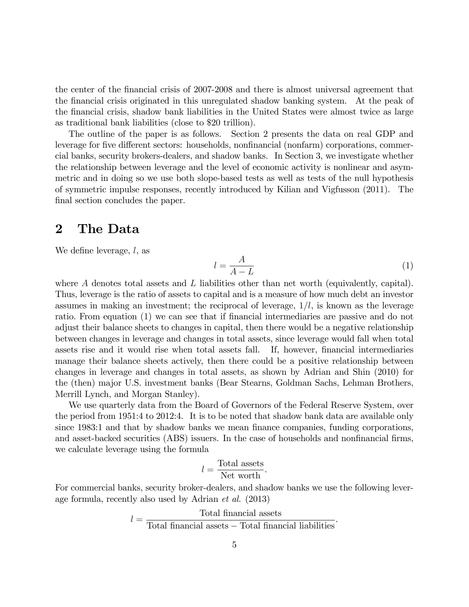the center of the Önancial crisis of 2007-2008 and there is almost universal agreement that the financial crisis originated in this unregulated shadow banking system. At the peak of the Önancial crisis, shadow bank liabilities in the United States were almost twice as large as traditional bank liabilities (close to \$20 trillion).

The outline of the paper is as follows. Section 2 presents the data on real GDP and leverage for five different sectors: households, nonfinancial (nonfarm) corporations, commercial banks, security brokers-dealers, and shadow banks. In Section 3, we investigate whether the relationship between leverage and the level of economic activity is nonlinear and asymmetric and in doing so we use both slope-based tests as well as tests of the null hypothesis of symmetric impulse responses, recently introduced by Kilian and Vigfusson (2011). The final section concludes the paper.

### 2 The Data

We define leverage,  $l$ , as

$$
l = \frac{A}{A - L} \tag{1}
$$

where  $A$  denotes total assets and  $L$  liabilities other than net worth (equivalently, capital). Thus, leverage is the ratio of assets to capital and is a measure of how much debt an investor assumes in making an investment; the reciprocal of leverage,  $1/l$ , is known as the leverage ratio. From equation (1) we can see that if Önancial intermediaries are passive and do not adjust their balance sheets to changes in capital, then there would be a negative relationship between changes in leverage and changes in total assets, since leverage would fall when total assets rise and it would rise when total assets fall. If, however, financial intermediaries manage their balance sheets actively, then there could be a positive relationship between changes in leverage and changes in total assets, as shown by Adrian and Shin (2010) for the (then) major U.S. investment banks (Bear Stearns, Goldman Sachs, Lehman Brothers, Merrill Lynch, and Morgan Stanley).

We use quarterly data from the Board of Governors of the Federal Reserve System, over the period from 1951:4 to 2012:4. It is to be noted that shadow bank data are available only since 1983:1 and that by shadow banks we mean finance companies, funding corporations, and asset-backed securities (ABS) issuers. In the case of households and nonfinancial firms, we calculate leverage using the formula

$$
l = \frac{\text{Total assets}}{\text{Net worth}}.
$$

For commercial banks, security broker-dealers, and shadow banks we use the following leverage formula, recently also used by Adrian et al. (2013)

$$
l = \frac{\text{Total financial assets}}{\text{Total financial assets} - \text{Total financial liabilities}}.
$$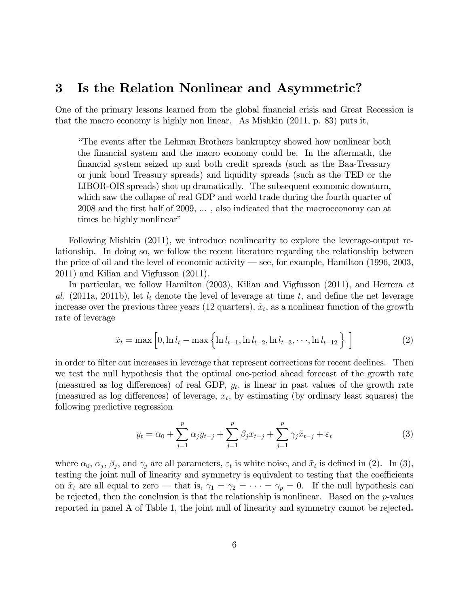### 3 Is the Relation Nonlinear and Asymmetric?

One of the primary lessons learned from the global financial crisis and Great Recession is that the macro economy is highly non linear. As Mishkin (2011, p. 83) puts it,

ìThe events after the Lehman Brothers bankruptcy showed how nonlinear both the Önancial system and the macro economy could be. In the aftermath, the financial system seized up and both credit spreads (such as the Baa-Treasury or junk bond Treasury spreads) and liquidity spreads (such as the TED or the LIBOR-OIS spreads) shot up dramatically. The subsequent economic downturn, which saw the collapse of real GDP and world trade during the fourth quarter of 2008 and the first half of 2009, ..., also indicated that the macroeconomy can at times be highly nonlinear"

Following Mishkin (2011), we introduce nonlinearity to explore the leverage-output relationship. In doing so, we follow the recent literature regarding the relationship between the price of oil and the level of economic activity  $\sim$  see, for example, Hamilton (1996, 2003, 2011) and Kilian and Vigfusson (2011).

In particular, we follow Hamilton (2003), Kilian and Vigfusson (2011), and Herrera *et* al. (2011a, 2011b), let  $l_t$  denote the level of leverage at time t, and define the net leverage increase over the previous three years (12 quarters),  $\tilde{x}_t$ , as a nonlinear function of the growth rate of leverage

$$
\tilde{x}_t = \max\left[0, \ln l_t - \max\left\{\ln l_{t-1}, \ln l_{t-2}, \ln l_{t-3}, \cdots, \ln l_{t-12}\right\}\right]
$$
 (2)

in order to filter out increases in leverage that represent corrections for recent declines. Then we test the null hypothesis that the optimal one-period ahead forecast of the growth rate (measured as log differences) of real GDP,  $y_t$ , is linear in past values of the growth rate (measured as log differences) of leverage,  $x_t$ , by estimating (by ordinary least squares) the following predictive regression

$$
y_t = \alpha_0 + \sum_{j=1}^p \alpha_j y_{t-j} + \sum_{j=1}^p \beta_j x_{t-j} + \sum_{j=1}^p \gamma_j \tilde{x}_{t-j} + \varepsilon_t
$$
 (3)

where  $\alpha_0, \alpha_j, \beta_j$ , and  $\gamma_j$  are all parameters,  $\varepsilon_t$  is white noise, and  $\tilde{x}_t$  is defined in (2). In (3), testing the joint null of linearity and symmetry is equivalent to testing that the coefficients on  $\tilde{x}_t$  are all equal to zero — that is,  $\gamma_1 = \gamma_2 = \cdots = \gamma_p = 0$ . If the null hypothesis can be rejected, then the conclusion is that the relationship is nonlinear. Based on the  $p$ -values reported in panel A of Table 1, the joint null of linearity and symmetry cannot be rejected.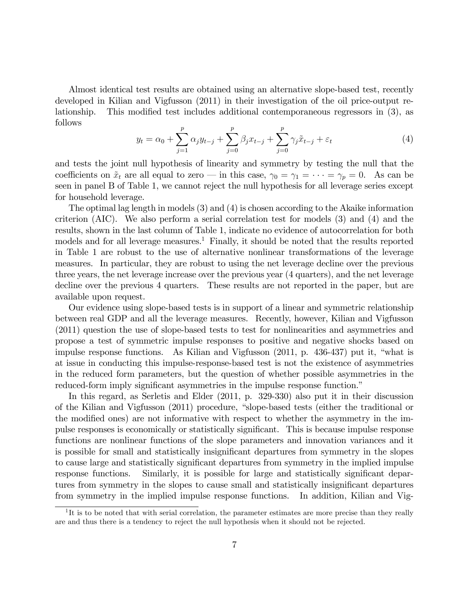Almost identical test results are obtained using an alternative slope-based test, recently developed in Kilian and Vigfusson (2011) in their investigation of the oil price-output relationship. This modified test includes additional contemporaneous regressors in  $(3)$ , as follows

$$
y_t = \alpha_0 + \sum_{j=1}^p \alpha_j y_{t-j} + \sum_{j=0}^p \beta_j x_{t-j} + \sum_{j=0}^p \gamma_j \tilde{x}_{t-j} + \varepsilon_t \tag{4}
$$

and tests the joint null hypothesis of linearity and symmetry by testing the null that the coefficients on  $\tilde{x}_t$  are all equal to zero — in this case,  $\gamma_0 = \gamma_1 = \cdots = \gamma_p = 0$ . As can be seen in panel B of Table 1, we cannot reject the null hypothesis for all leverage series except for household leverage.

The optimal lag length in models (3) and (4) is chosen according to the Akaike information criterion (AIC). We also perform a serial correlation test for models (3) and (4) and the results, shown in the last column of Table 1, indicate no evidence of autocorrelation for both models and for all leverage measures.<sup>1</sup> Finally, it should be noted that the results reported in Table 1 are robust to the use of alternative nonlinear transformations of the leverage measures. In particular, they are robust to using the net leverage decline over the previous three years, the net leverage increase over the previous year (4 quarters), and the net leverage decline over the previous 4 quarters. These results are not reported in the paper, but are available upon request.

Our evidence using slope-based tests is in support of a linear and symmetric relationship between real GDP and all the leverage measures. Recently, however, Kilian and Vigfusson (2011) question the use of slope-based tests to test for nonlinearities and asymmetries and propose a test of symmetric impulse responses to positive and negative shocks based on impulse response functions. As Kilian and Vigfusson  $(2011, p. 436-437)$  put it, "what is at issue in conducting this impulse-response-based test is not the existence of asymmetries in the reduced form parameters, but the question of whether possible asymmetries in the reduced-form imply significant asymmetries in the impulse response function.<sup>"</sup>

In this regard, as Serletis and Elder (2011, p. 329-330) also put it in their discussion of the Kilian and Vigfusson  $(2011)$  procedure, "slope-based tests (either the traditional or the modified ones) are not informative with respect to whether the asymmetry in the impulse responses is economically or statistically significant. This is because impulse response functions are nonlinear functions of the slope parameters and innovation variances and it is possible for small and statistically insignificant departures from symmetry in the slopes to cause large and statistically significant departures from symmetry in the implied impulse response functions. Similarly, it is possible for large and statistically significant departures from symmetry in the slopes to cause small and statistically insignificant departures from symmetry in the implied impulse response functions. In addition, Kilian and Vig-

<sup>&</sup>lt;sup>1</sup>It is to be noted that with serial correlation, the parameter estimates are more precise than they really are and thus there is a tendency to reject the null hypothesis when it should not be rejected.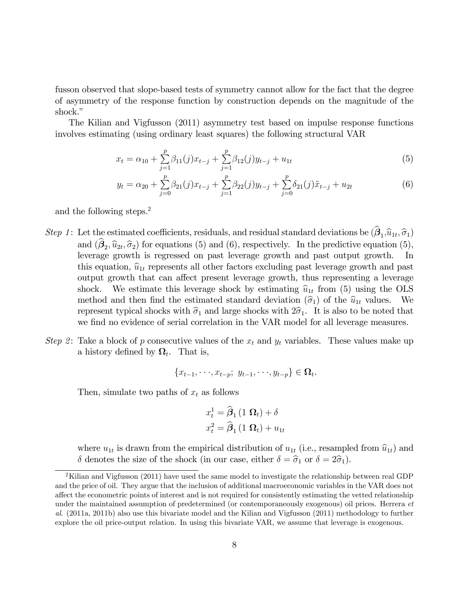fusson observed that slope-based tests of symmetry cannot allow for the fact that the degree of asymmetry of the response function by construction depends on the magnitude of the shock."

The Kilian and Vigfusson (2011) asymmetry test based on impulse response functions involves estimating (using ordinary least squares) the following structural VAR

$$
x_t = \alpha_{10} + \sum_{j=1}^p \beta_{11}(j)x_{t-j} + \sum_{j=1}^p \beta_{12}(j)y_{t-j} + u_{1t}
$$
\n(5)

$$
y_t = \alpha_{20} + \sum_{j=0}^p \beta_{21}(j)x_{t-j} + \sum_{j=1}^p \beta_{22}(j)y_{t-j} + \sum_{j=0}^p \delta_{21}(j)\tilde{x}_{t-j} + u_{2t}
$$
(6)

and the following steps.<sup>2</sup>

- Step 1: Let the estimated coefficients, residuals, and residual standard deviations be  $(\beta_1, \hat{u}_{1t}, \hat{\sigma}_1)$ and  $(\beta_2, \hat{u}_{2t}, \hat{\sigma}_2)$  for equations (5) and (6), respectively. In the predictive equation (5), leverage growth is regressed on past leverage growth and past output growth. In this equation,  $\hat{u}_{1t}$  represents all other factors excluding past leverage growth and past output growth that can affect present leverage growth, thus representing a leverage shock. We estimate this leverage shock by estimating  $\hat{u}_{1t}$  from (5) using the OLS method and then find the estimated standard deviation  $(\hat{\sigma}_1)$  of the  $\hat{u}_{1t}$  values. We represent typical shocks with  $\hat{\sigma}_1$  and large shocks with  $2\hat{\sigma}_1$ . It is also to be noted that we find no evidence of serial correlation in the VAR model for all leverage measures.
- Step 2: Take a block of p consecutive values of the  $x_t$  and  $y_t$  variables. These values make up a history defined by  $\Omega_t$ . That is,

$$
\{x_{t-1}, \dots, x_{t-p}; y_{t-1}, \dots, y_{t-p}\} \in \Omega_t.
$$

Then, simulate two paths of  $x_t$  as follows

$$
x_t^1 = \hat{\beta}_1 (1 \ \Omega_t) + \delta
$$
  

$$
x_t^2 = \hat{\beta}_1 (1 \ \Omega_t) + u_{1t}
$$

where  $u_{1t}$  is drawn from the empirical distribution of  $u_{1t}$  (i.e., resampled from  $\hat{u}_{1t}$ ) and  $\delta$  denotes the size of the shock (in our case, either  $\delta = \hat{\sigma}_1$  or  $\delta = 2\hat{\sigma}_1$ ).

<sup>&</sup>lt;sup>2</sup>Kilian and Vigfusson (2011) have used the same model to investigate the relationship between real GDP and the price of oil. They argue that the inclusion of additional macroeconomic variables in the VAR does not affect the econometric points of interest and is not required for consistently estimating the vetted relationship under the maintained assumption of predetermined (or contemporaneously exogenous) oil prices. Herrera et al. (2011a, 2011b) also use this bivariate model and the Kilian and Vigfusson (2011) methodology to further explore the oil price-output relation. In using this bivariate VAR, we assume that leverage is exogenous.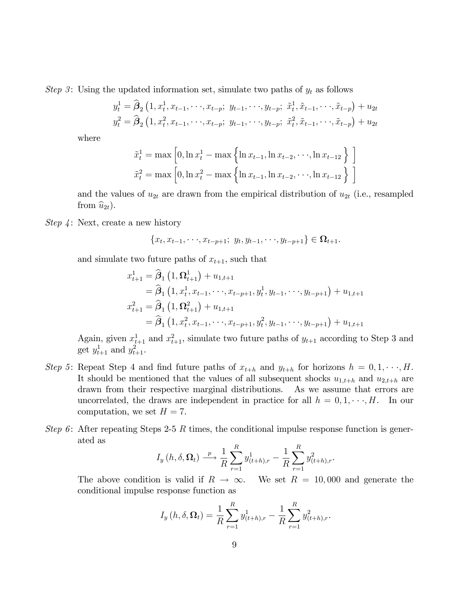Step 3: Using the updated information set, simulate two paths of  $y_t$  as follows

$$
y_t^1 = \hat{\beta}_2 (1, x_t^1, x_{t-1}, \dots, x_{t-p}; y_{t-1}, \dots, y_{t-p}; \tilde{x}_t^1, \tilde{x}_{t-1}, \dots, \tilde{x}_{t-p}) + u_{2t}
$$
  

$$
y_t^2 = \hat{\beta}_2 (1, x_t^2, x_{t-1}, \dots, x_{t-p}; y_{t-1}, \dots, y_{t-p}; \tilde{x}_t^2, \tilde{x}_{t-1}, \dots, \tilde{x}_{t-p}) + u_{2t}
$$

where

$$
\tilde{x}_t^1 = \max\left[0, \ln x_t^1 - \max\left\{\ln x_{t-1}, \ln x_{t-2}, \dots, \ln x_{t-12}\right\}\right]
$$
  

$$
\tilde{x}_t^2 = \max\left[0, \ln x_t^2 - \max\left\{\ln x_{t-1}, \ln x_{t-2}, \dots, \ln x_{t-12}\right\}\right]
$$

and the values of  $u_{2t}$  are drawn from the empirical distribution of  $u_{2t}$  (i.e., resampled from  $\widehat{u}_{2t}$ ).

Step 4: Next, create a new history

$$
\{x_t, x_{t-1}, \dots, x_{t-p+1}; y_t, y_{t-1}, \dots, y_{t-p+1}\} \in \Omega_{t+1}.
$$

and simulate two future paths of  $x_{t+1}$ , such that

$$
x_{t+1}^1 = \hat{\beta}_1 (1, \Omega_{t+1}^1) + u_{1,t+1}
$$
  
=  $\hat{\beta}_1 (1, x_t^1, x_{t-1}, \dots, x_{t-p+1}, y_t^1, y_{t-1}, \dots, y_{t-p+1}) + u_{1,t+1}$   

$$
x_{t+1}^2 = \hat{\beta}_1 (1, \Omega_{t+1}^2) + u_{1,t+1}
$$
  
=  $\hat{\beta}_1 (1, x_t^2, x_{t-1}, \dots, x_{t-p+1}, y_t^2, y_{t-1}, \dots, y_{t-p+1}) + u_{1,t+1}$ 

Again, given  $x_{t+1}^1$  and  $x_{t+1}^2$ , simulate two future paths of  $y_{t+1}$  according to Step 3 and get  $y_{t+1}^1$  and  $y_{t+1}^2$ .

- Step 5: Repeat Step 4 and find future paths of  $x_{t+h}$  and  $y_{t+h}$  for horizons  $h = 0, 1, \dots, H$ . It should be mentioned that the values of all subsequent shocks  $u_{1,t+h}$  and  $u_{2,t+h}$  are drawn from their respective marginal distributions. As we assume that errors are uncorrelated, the draws are independent in practice for all  $h = 0, 1, \dots, H$ . In our computation, we set  $H = 7$ .
- Step 6: After repeating Steps 2-5 R times, the conditional impulse response function is generated as

$$
I_y(h, \delta, \Omega_t) \xrightarrow{p} \frac{1}{R} \sum_{r=1}^R y_{(t+h),r}^1 - \frac{1}{R} \sum_{r=1}^R y_{(t+h),r}^2.
$$

The above condition is valid if  $R \to \infty$ . We set  $R = 10,000$  and generate the conditional impulse response function as

$$
I_y(h, \delta, \Omega_t) = \frac{1}{R} \sum_{r=1}^R y_{(t+h),r}^1 - \frac{1}{R} \sum_{r=1}^R y_{(t+h),r}^2.
$$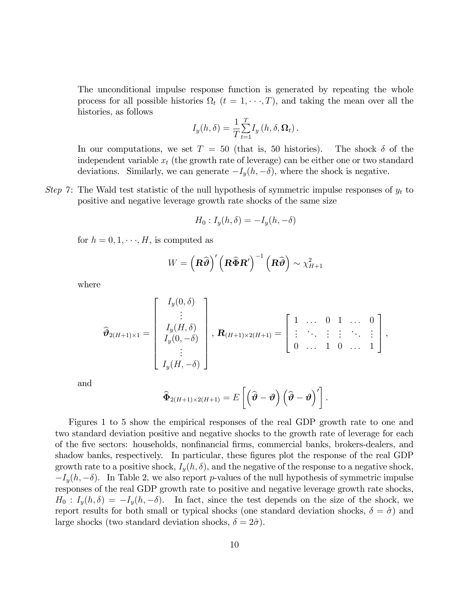The unconditional impulse response function is generated by repeating the whole process for all possible histories  $\Omega_t$   $(t = 1, \dots, T)$ , and taking the mean over all the histories, as follows

$$
I_y(h,\delta) = \frac{1}{T}\sum_{t=1}^T I_y(h,\delta,\Omega_t).
$$

In our computations, we set  $T = 50$  (that is, 50 histories). The shock  $\delta$  of the independent variable  $x_t$  (the growth rate of leverage) can be either one or two standard deviations. Similarly, we can generate  $-I_y(h, -\delta)$ , where the shock is negative.

Step 7: The Wald test statistic of the null hypothesis of symmetric impulse responses of  $y_t$  to positive and negative leverage growth rate shocks of the same size

$$
H_0: I_y(h, \delta) = -I_y(h, -\delta)
$$

for  $h = 0, 1, \dots, H$ , is computed as

$$
W = \left(\mathbf{R}\widehat{\boldsymbol{\vartheta}}\right)' \left(\mathbf{R}\widehat{\boldsymbol{\Phi}}\mathbf{R}'\right)^{-1} \left(\mathbf{R}\widehat{\boldsymbol{\vartheta}}\right) \sim \chi^2_{H+1}
$$

where

$$
\widehat{\boldsymbol{\vartheta}}_{2(H+1)\times 1} = \begin{bmatrix} I_y(0,\delta) \\ \vdots \\ I_y(H,\delta) \\ I_y(0,-\delta) \\ \vdots \\ I_y(H,-\delta) \end{bmatrix}, \, \mathbf{R}_{(H+1)\times 2(H+1)} = \begin{bmatrix} 1 & \dots & 0 & 1 & \dots & 0 \\ \vdots & \ddots & \vdots & \vdots & \ddots & \vdots \\ 0 & \dots & 1 & 0 & \dots & 1 \end{bmatrix},
$$

and

$$
\widehat{\boldsymbol{\Phi}}_{2(H+1)\times 2(H+1)}=E\left[\left(\widehat{\boldsymbol{\vartheta}}-\boldsymbol{\vartheta}\right)\left(\widehat{\boldsymbol{\vartheta}}-\boldsymbol{\vartheta}\right)'\right].
$$

Figures 1 to 5 show the empirical responses of the real GDP growth rate to one and two standard deviation positive and negative shocks to the growth rate of leverage for each of the five sectors: households, nonfinancial firms, commercial banks, brokers-dealers, and shadow banks, respectively. In particular, these figures plot the response of the real GDP growth rate to a positive shock,  $I_y(h, \delta)$ , and the negative of the response to a negative shock,  $-I_y(h, -\delta)$ . In Table 2, we also report p-values of the null hypothesis of symmetric impulse responses of the real GDP growth rate to positive and negative leverage growth rate shocks,  $H_0: I_y(h, \delta) = -I_y(h, -\delta).$  In fact, since the test depends on the size of the shock, we report results for both small or typical shocks (one standard deviation shocks,  $\delta = \hat{\sigma}$ ) and large shocks (two standard deviation shocks,  $\delta = 2\hat{\sigma}$ ).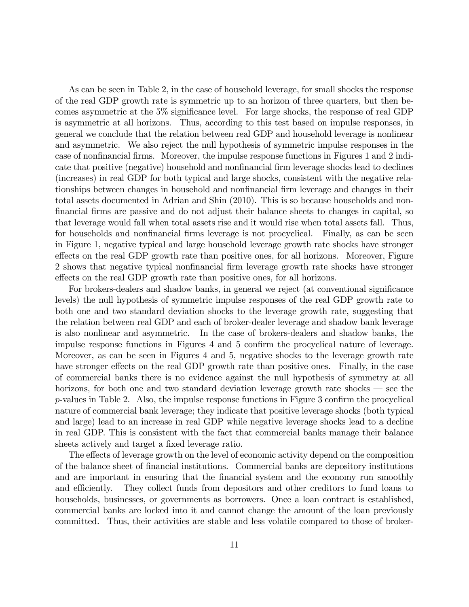As can be seen in Table 2, in the case of household leverage, for small shocks the response of the real GDP growth rate is symmetric up to an horizon of three quarters, but then becomes asymmetric at the 5% significance level. For large shocks, the response of real GDP is asymmetric at all horizons. Thus, according to this test based on impulse responses, in general we conclude that the relation between real GDP and household leverage is nonlinear and asymmetric. We also reject the null hypothesis of symmetric impulse responses in the case of nonfinancial firms. Moreover, the impulse response functions in Figures 1 and 2 indicate that positive (negative) household and nonfinancial firm leverage shocks lead to declines (increases) in real GDP for both typical and large shocks, consistent with the negative relationships between changes in household and nonfinancial firm leverage and changes in their total assets documented in Adrian and Shin (2010). This is so because households and non-Önancial Örms are passive and do not adjust their balance sheets to changes in capital, so that leverage would fall when total assets rise and it would rise when total assets fall. Thus, for households and nonfinancial firms leverage is not procyclical. Finally, as can be seen in Figure 1, negative typical and large household leverage growth rate shocks have stronger effects on the real GDP growth rate than positive ones, for all horizons. Moreover, Figure 2 shows that negative typical nonfinancial firm leverage growth rate shocks have stronger effects on the real GDP growth rate than positive ones, for all horizons.

For brokers-dealers and shadow banks, in general we reject (at conventional significance levels) the null hypothesis of symmetric impulse responses of the real GDP growth rate to both one and two standard deviation shocks to the leverage growth rate, suggesting that the relation between real GDP and each of broker-dealer leverage and shadow bank leverage is also nonlinear and asymmetric. In the case of brokers-dealers and shadow banks, the impulse response functions in Figures 4 and 5 confirm the procyclical nature of leverage. Moreover, as can be seen in Figures 4 and 5, negative shocks to the leverage growth rate have stronger effects on the real GDP growth rate than positive ones. Finally, in the case of commercial banks there is no evidence against the null hypothesis of symmetry at all horizons, for both one and two standard deviation leverage growth rate shocks  $\sim$  see the  $p$ -values in Table 2. Also, the impulse response functions in Figure 3 confirm the procyclical nature of commercial bank leverage; they indicate that positive leverage shocks (both typical and large) lead to an increase in real GDP while negative leverage shocks lead to a decline in real GDP. This is consistent with the fact that commercial banks manage their balance sheets actively and target a fixed leverage ratio.

The effects of leverage growth on the level of economic activity depend on the composition of the balance sheet of Önancial institutions. Commercial banks are depository institutions and are important in ensuring that the financial system and the economy run smoothly and efficiently. They collect funds from depositors and other creditors to fund loans to households, businesses, or governments as borrowers. Once a loan contract is established, commercial banks are locked into it and cannot change the amount of the loan previously committed. Thus, their activities are stable and less volatile compared to those of broker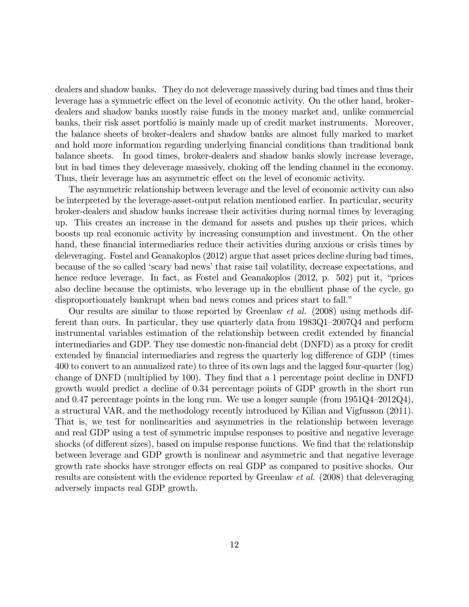dealers and shadow banks. They do not deleverage massively during bad times and thus their leverage has a symmetric effect on the level of economic activity. On the other hand, brokerdealers and shadow banks mostly raise funds in the money market and, unlike commercial banks, their risk asset portfolio is mainly made up of credit market instruments. Moreover, the balance sheets of broker-dealers and shadow banks are almost fully marked to market and hold more information regarding underlying financial conditions than traditional bank balance sheets. In good times, broker-dealers and shadow banks slowly increase leverage, but in bad times they deleverage massively, choking off the lending channel in the economy. Thus, their leverage has an asymmetric effect on the level of economic activity.

The asymmetric relationship between leverage and the level of economic activity can also be interpreted by the leverage-asset-output relation mentioned earlier. In particular, security broker-dealers and shadow banks increase their activities during normal times by leveraging up. This creates an increase in the demand for assets and pushes up their prices, which boosts up real economic activity by increasing consumption and investment. On the other hand, these financial intermediaries reduce their activities during anxious or crisis times by deleveraging. Fostel and Geanakoplos (2012) argue that asset prices decline during bad times, because of the so called 'scary bad news' that raise tail volatility, decrease expectations, and hence reduce leverage. In fact, as Fostel and Geanakoplos  $(2012, p. 502)$  put it, "prices also decline because the optimists, who leverage up in the ebullient phase of the cycle, go disproportionately bankrupt when bad news comes and prices start to fall."

Our results are similar to those reported by Greenlaw et al. (2008) using methods different than ours. In particular, they use quarterly data from  $1983Q1-2007Q4$  and perform instrumental variables estimation of the relationship between credit extended by financial intermediaries and GDP. They use domestic non-financial debt (DNFD) as a proxy for credit extended by financial intermediaries and regress the quarterly log difference of GDP (times 400 to convert to an annualized rate) to three of its own lags and the lagged four-quarter (log) change of DNFD (multiplied by 100). They find that a 1 percentage point decline in DNFD growth would predict a decline of 0.34 percentage points of GDP growth in the short run and 0.47 percentage points in the long run. We use a longer sample (from  $1951Q4-2012Q4$ ), a structural VAR, and the methodology recently introduced by Kilian and Vigfusson (2011). That is, we test for nonlinearities and asymmetries in the relationship between leverage and real GDP using a test of symmetric impulse responses to positive and negative leverage shocks (of different sizes), based on impulse response functions. We find that the relationship between leverage and GDP growth is nonlinear and asymmetric and that negative leverage growth rate shocks have stronger effects on real GDP as compared to positive shocks. Our results are consistent with the evidence reported by Greenlaw et al. (2008) that deleveraging adversely impacts real GDP growth.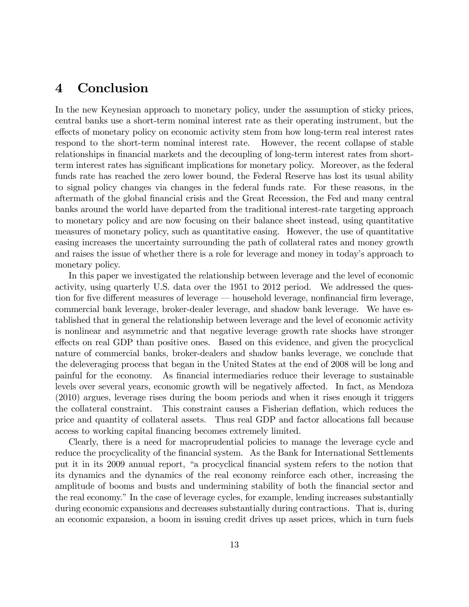### 4 Conclusion

In the new Keynesian approach to monetary policy, under the assumption of sticky prices, central banks use a short-term nominal interest rate as their operating instrument, but the effects of monetary policy on economic activity stem from how long-term real interest rates respond to the short-term nominal interest rate. However, the recent collapse of stable relationships in financial markets and the decoupling of long-term interest rates from shortterm interest rates has significant implications for monetary policy. Moreover, as the federal funds rate has reached the zero lower bound, the Federal Reserve has lost its usual ability to signal policy changes via changes in the federal funds rate. For these reasons, in the aftermath of the global Önancial crisis and the Great Recession, the Fed and many central banks around the world have departed from the traditional interest-rate targeting approach to monetary policy and are now focusing on their balance sheet instead, using quantitative measures of monetary policy, such as quantitative easing. However, the use of quantitative easing increases the uncertainty surrounding the path of collateral rates and money growth and raises the issue of whether there is a role for leverage and money in today's approach to monetary policy.

In this paper we investigated the relationship between leverage and the level of economic activity, using quarterly U.S. data over the 1951 to 2012 period. We addressed the question for five different measures of leverage — household leverage, nonfinancial firm leverage, commercial bank leverage, broker-dealer leverage, and shadow bank leverage. We have established that in general the relationship between leverage and the level of economic activity is nonlinear and asymmetric and that negative leverage growth rate shocks have stronger effects on real GDP than positive ones. Based on this evidence, and given the procyclical nature of commercial banks, broker-dealers and shadow banks leverage, we conclude that the deleveraging process that began in the United States at the end of 2008 will be long and painful for the economy. As financial intermediaries reduce their leverage to sustainable levels over several years, economic growth will be negatively affected. In fact, as Mendoza (2010) argues, leverage rises during the boom periods and when it rises enough it triggers the collateral constraint. This constraint causes a Fisherian deflation, which reduces the price and quantity of collateral assets. Thus real GDP and factor allocations fall because access to working capital financing becomes extremely limited.

Clearly, there is a need for macroprudential policies to manage the leverage cycle and reduce the procyclicality of the financial system. As the Bank for International Settlements put it in its 2009 annual report, "a procyclical financial system refers to the notion that its dynamics and the dynamics of the real economy reinforce each other, increasing the amplitude of booms and busts and undermining stability of both the financial sector and the real economy." In the case of leverage cycles, for example, lending increases substantially during economic expansions and decreases substantially during contractions. That is, during an economic expansion, a boom in issuing credit drives up asset prices, which in turn fuels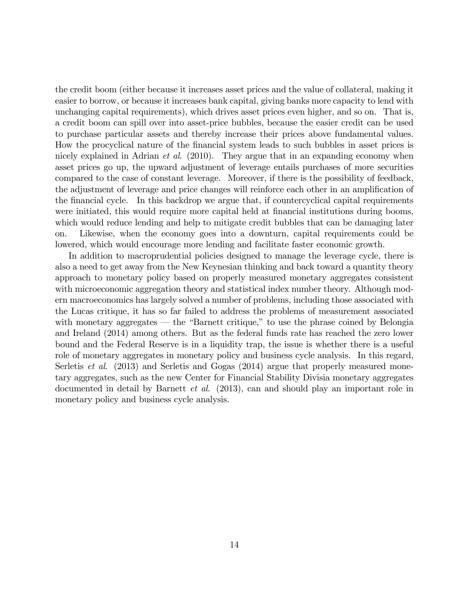the credit boom (either because it increases asset prices and the value of collateral, making it easier to borrow, or because it increases bank capital, giving banks more capacity to lend with unchanging capital requirements), which drives asset prices even higher, and so on. That is, a credit boom can spill over into asset-price bubbles, because the easier credit can be used to purchase particular assets and thereby increase their prices above fundamental values. How the procyclical nature of the Önancial system leads to such bubbles in asset prices is nicely explained in Adrian *et al.* (2010). They argue that in an expanding economy when asset prices go up, the upward adjustment of leverage entails purchases of more securities compared to the case of constant leverage. Moreover, if there is the possibility of feedback, the adjustment of leverage and price changes will reinforce each other in an amplification of the Önancial cycle. In this backdrop we argue that, if countercyclical capital requirements were initiated, this would require more capital held at financial institutions during booms, which would reduce lending and help to mitigate credit bubbles that can be damaging later on. Likewise, when the economy goes into a downturn, capital requirements could be lowered, which would encourage more lending and facilitate faster economic growth.

In addition to macroprudential policies designed to manage the leverage cycle, there is also a need to get away from the New Keynesian thinking and back toward a quantity theory approach to monetary policy based on properly measured monetary aggregates consistent with microeconomic aggregation theory and statistical index number theory. Although modern macroeconomics has largely solved a number of problems, including those associated with the Lucas critique, it has so far failed to address the problems of measurement associated with monetary aggregates  $-$  the "Barnett critique," to use the phrase coined by Belongia and Ireland (2014) among others. But as the federal funds rate has reached the zero lower bound and the Federal Reserve is in a liquidity trap, the issue is whether there is a useful role of monetary aggregates in monetary policy and business cycle analysis. In this regard, Serletis *et al.* (2013) and Serletis and Gogas (2014) argue that properly measured monetary aggregates, such as the new Center for Financial Stability Divisia monetary aggregates documented in detail by Barnett et al. (2013), can and should play an important role in monetary policy and business cycle analysis.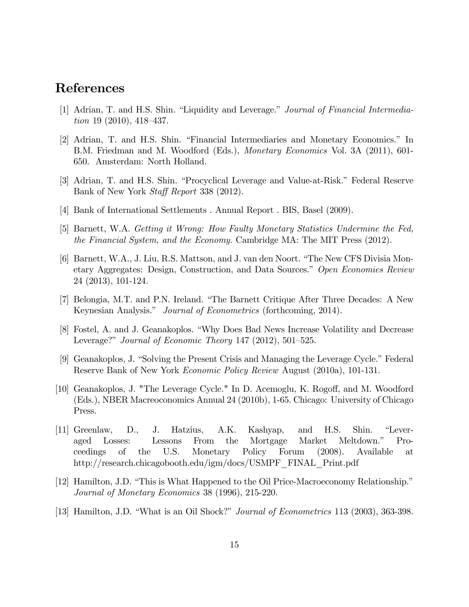### References

- [1] Adrian, T. and H.S. Shin. "Liquidity and Leverage." *Journal of Financial Intermedia*tion 19  $(2010)$ , 418–437.
- [2] Adrian, T. and H.S. Shin. "Financial Intermediaries and Monetary Economics." In B.M. Friedman and M. Woodford (Eds.), Monetary Economics Vol. 3A (2011), 601- 650. Amsterdam: North Holland.
- [3] Adrian, T. and H.S. Shin. "Procyclical Leverage and Value-at-Risk." Federal Reserve Bank of New York Staff Report 338 (2012).
- [4] Bank of International Settlements . Annual Report . BIS, Basel (2009).
- [5] Barnett, W.A. Getting it Wrong: How Faulty Monetary Statistics Undermine the Fed, the Financial System, and the Economy. Cambridge MA: The MIT Press (2012).
- [6] Barnett, W.A., J. Liu, R.S. Mattson, and J. van den Noort. "The New CFS Divisia Monetary Aggregates: Design, Construction, and Data Sources." Open Economies Review 24 (2013), 101-124.
- [7] Belongia, M.T. and P.N. Ireland. "The Barnett Critique After Three Decades: A New Keynesian Analysis." Journal of Econometrics (forthcoming, 2014).
- [8] Fostel, A. and J. Geanakoplos. "Why Does Bad News Increase Volatility and Decrease Leverage?" Journal of Economic Theory 147 (2012), 501–525.
- [9] Geanakoplos, J. "Solving the Present Crisis and Managing the Leverage Cycle." Federal Reserve Bank of New York Economic Policy Review August (2010a), 101-131.
- [10] Geanakoplos, J. "The Leverage Cycle." In D. Acemoglu, K. Rogoff, and M. Woodford (Eds.), NBER Macreoconomics Annual 24 (2010b), 1-65. Chicago: University of Chicago Press.
- [11] Greenlaw, D., J. Hatzius, A.K. Kashyap, and H.S. Shin. "Leveraged Losses: Lessons From the Mortgage Market Meltdown.î Proceedings of the U.S. Monetary Policy Forum (2008). Available at http://research.chicagobooth.edu/igm/docs/USMPF\_FINAL\_Print.pdf
- [12] Hamilton, J.D. "This is What Happened to the Oil Price-Macroeconomy Relationship." Journal of Monetary Economics 38 (1996), 215-220.
- [13] Hamilton, J.D. "What is an Oil Shock?" *Journal of Econometrics* 113 (2003), 363-398.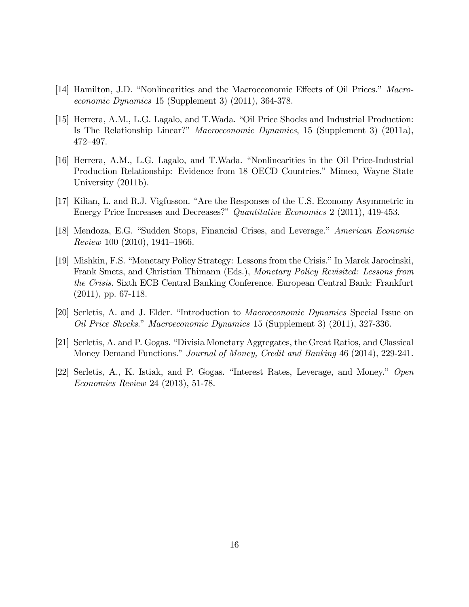- [14] Hamilton, J.D. "Nonlinearities and the Macroeconomic Effects of Oil Prices." Macroeconomic Dynamics 15 (Supplement 3) (2011), 364-378.
- [15] Herrera, A.M., L.G. Lagalo, and T.Wada. "Oil Price Shocks and Industrial Production: Is The Relationship Linear?î Macroeconomic Dynamics, 15 (Supplement 3) (2011a), 472–497.
- [16] Herrera, A.M., L.G. Lagalo, and T.Wada. "Nonlinearities in the Oil Price-Industrial Production Relationship: Evidence from 18 OECD Countries." Mimeo, Wayne State University (2011b).
- [17] Kilian, L. and R.J. Vigfusson. "Are the Responses of the U.S. Economy Asymmetric in Energy Price Increases and Decreases?" Quantitative Economics 2 (2011), 419-453.
- [18] Mendoza, E.G. "Sudden Stops, Financial Crises, and Leverage." American Economic  $Review 100 (2010), 1941–1966.$
- [19] Mishkin, F.S. "Monetary Policy Strategy: Lessons from the Crisis." In Marek Jarocinski, Frank Smets, and Christian Thimann (Eds.), Monetary Policy Revisited: Lessons from the Crisis. Sixth ECB Central Banking Conference. European Central Bank: Frankfurt (2011), pp. 67-118.
- [20] Serletis, A. and J. Elder. "Introduction to *Macroeconomic Dynamics* Special Issue on Oil Price Shocks." Macroeconomic Dynamics 15 (Supplement 3) (2011), 327-336.
- [21] Serletis, A. and P. Gogas. "Divisia Monetary Aggregates, the Great Ratios, and Classical Money Demand Functions." Journal of Money, Credit and Banking 46 (2014), 229-241.
- [22] Serletis, A., K. Istiak, and P. Gogas. "Interest Rates, Leverage, and Money." Open Economies Review 24 (2013), 51-78.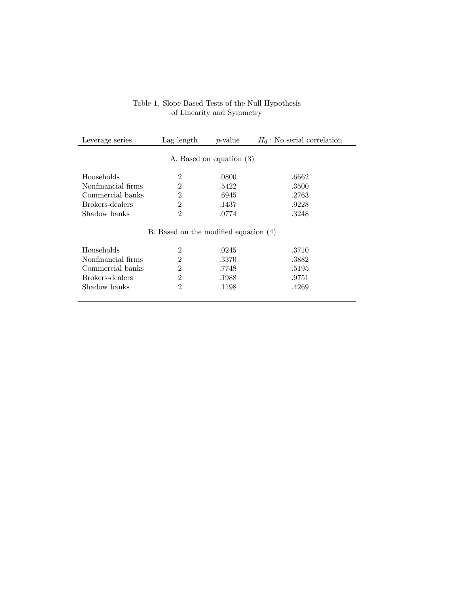| Leverage series                       | Lag length     | <i>p</i> -value | $H_0$ : No serial correlation |  |  |  |  |  |  |  |  |  |
|---------------------------------------|----------------|-----------------|-------------------------------|--|--|--|--|--|--|--|--|--|
| A. Based on equation (3)              |                |                 |                               |  |  |  |  |  |  |  |  |  |
| Households                            | $\overline{2}$ | .0800           | .6662                         |  |  |  |  |  |  |  |  |  |
| Nonfinancial firms                    | $\overline{2}$ | .5422           | .3500                         |  |  |  |  |  |  |  |  |  |
| Commercial banks                      | $\overline{2}$ | .6945           | .2763                         |  |  |  |  |  |  |  |  |  |
| Brokers-dealers                       | $\overline{2}$ | .1437           | .9228                         |  |  |  |  |  |  |  |  |  |
| Shadow banks                          | $\overline{2}$ | .0774           | .3248                         |  |  |  |  |  |  |  |  |  |
| B. Based on the modified equation (4) |                |                 |                               |  |  |  |  |  |  |  |  |  |
| Households                            | $\overline{2}$ | .0245           | .3710                         |  |  |  |  |  |  |  |  |  |
| Nonfinancial firms                    | $\overline{2}$ | .3370           | .3882                         |  |  |  |  |  |  |  |  |  |
| Commercial banks                      | $\overline{2}$ | .7748           | .5195                         |  |  |  |  |  |  |  |  |  |
| Brokers-dealers                       | $\overline{2}$ | .1988           | .9751                         |  |  |  |  |  |  |  |  |  |
| Shadow banks                          | $\overline{2}$ | .1198           | .4269                         |  |  |  |  |  |  |  |  |  |

### Table 1. Slope Based Tests of the Null Hypothesis of Linearity and Symmetry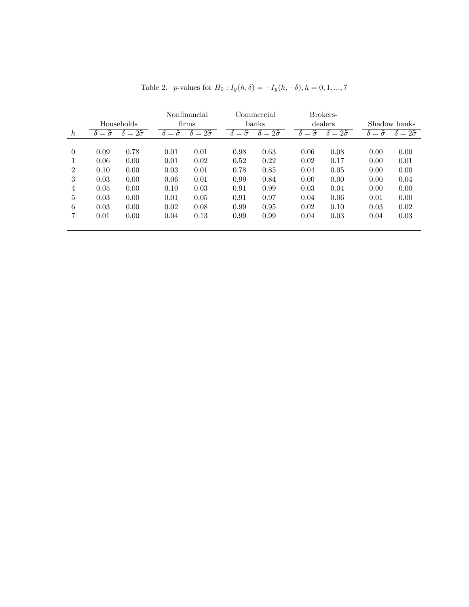|                  | Households              |                              | Nonfinancial<br>firms   |                          |                         | Commercial<br>banks      |                         | Brokers-<br>dealers      |                         | Shadow banks             |  |
|------------------|-------------------------|------------------------------|-------------------------|--------------------------|-------------------------|--------------------------|-------------------------|--------------------------|-------------------------|--------------------------|--|
| $\boldsymbol{h}$ | $\delta = \hat{\sigma}$ | $\delta = 2\widehat{\sigma}$ | $\delta = \hat{\sigma}$ | $\delta = 2\hat{\sigma}$ | $\delta = \hat{\sigma}$ | $\delta = 2\hat{\sigma}$ | $\delta = \hat{\sigma}$ | $\delta = 2\hat{\sigma}$ | $\delta = \hat{\sigma}$ | $\delta = 2\hat{\sigma}$ |  |
|                  |                         |                              |                         |                          |                         |                          |                         |                          |                         |                          |  |
| $\Omega$         | 0.09                    | 0.78                         | 0.01                    | 0.01                     | 0.98                    | 0.63                     | 0.06                    | 0.08                     | 0.00                    | 0.00                     |  |
|                  | 0.06                    | 0.00                         | 0.01                    | 0.02                     | 0.52                    | 0.22                     | 0.02                    | 0.17                     | 0.00                    | 0.01                     |  |
| $\overline{2}$   | 0.10                    | 0.00                         | 0.03                    | 0.01                     | 0.78                    | 0.85                     | 0.04                    | 0.05                     | 0.00                    | 0.00                     |  |
| 3                | 0.03                    | 0.00                         | 0.06                    | 0.01                     | 0.99                    | 0.84                     | 0.00                    | 0.00                     | 0.00                    | 0.04                     |  |
| 4                | 0.05                    | 0.00                         | 0.10                    | 0.03                     | 0.91                    | 0.99                     | 0.03                    | 0.04                     | 0.00                    | 0.00                     |  |
| 5                | 0.03                    | 0.00                         | 0.01                    | 0.05                     | 0.91                    | 0.97                     | 0.04                    | 0.06                     | 0.01                    | 0.00                     |  |
| 6                | 0.03                    | 0.00                         | 0.02                    | 0.08                     | 0.99                    | 0.95                     | 0.02                    | 0.10                     | 0.03                    | 0.02                     |  |
| 7                | 0.01                    | 0.00                         | 0.04                    | 0.13                     | 0.99                    | 0.99                     | 0.04                    | 0.03                     | 0.04                    | 0.03                     |  |
|                  |                         |                              |                         |                          |                         |                          |                         |                          |                         |                          |  |

Table 2. *p*-values for  $H_0: I_y(h, \delta) = -I_y(h, -\delta), h = 0, 1, ..., 7$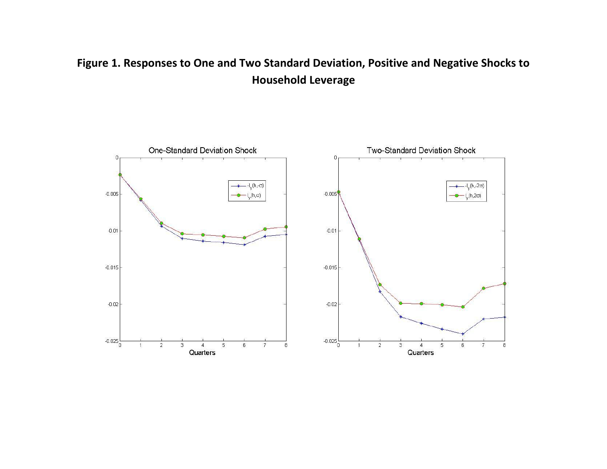# **Figure 1. Responses to One and Two Standard Deviation, Positive and Negative Shocks to Household Leverage**

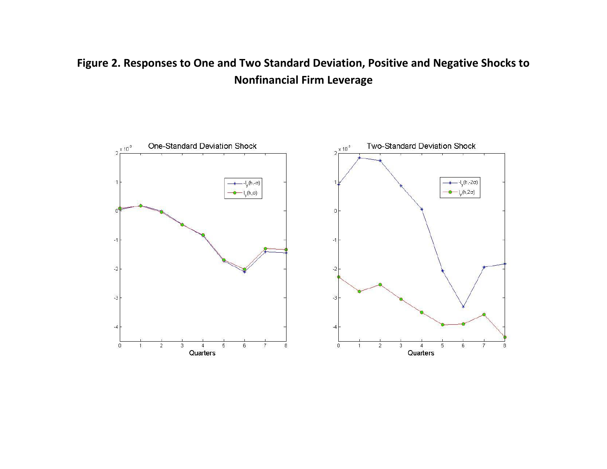# **Figure 2. Responses to One and Two Standard Deviation, Positive and Negative Shocks to Nonfinancial Firm Leverage**

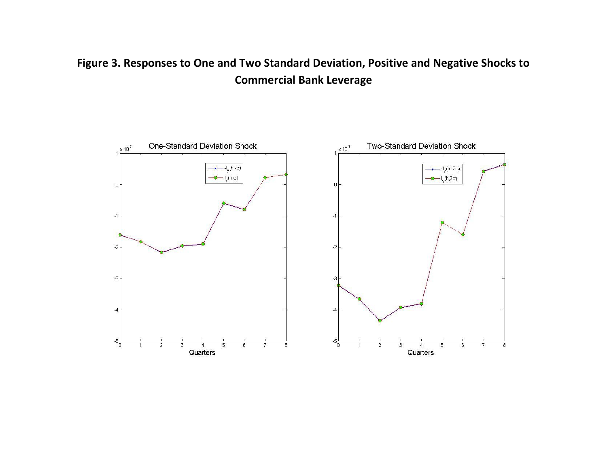# **Figure 3. Responses to One and Two Standard Deviation, Positive and Negative Shocks to Commercial Bank Leverage**

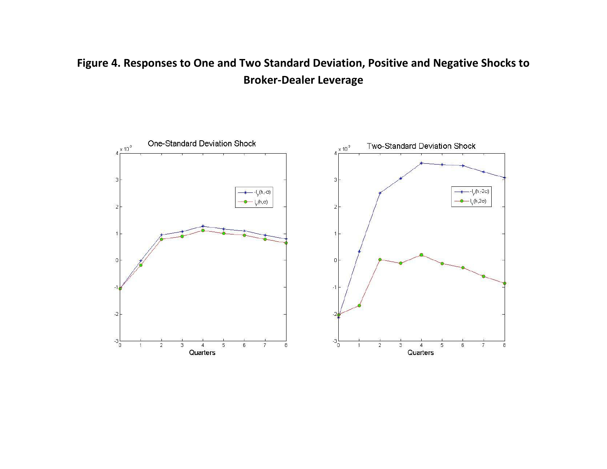# **Figure 4. Responses to One and Two Standard Deviation, Positive and Negative Shocks to Broker-Dealer Leverage**